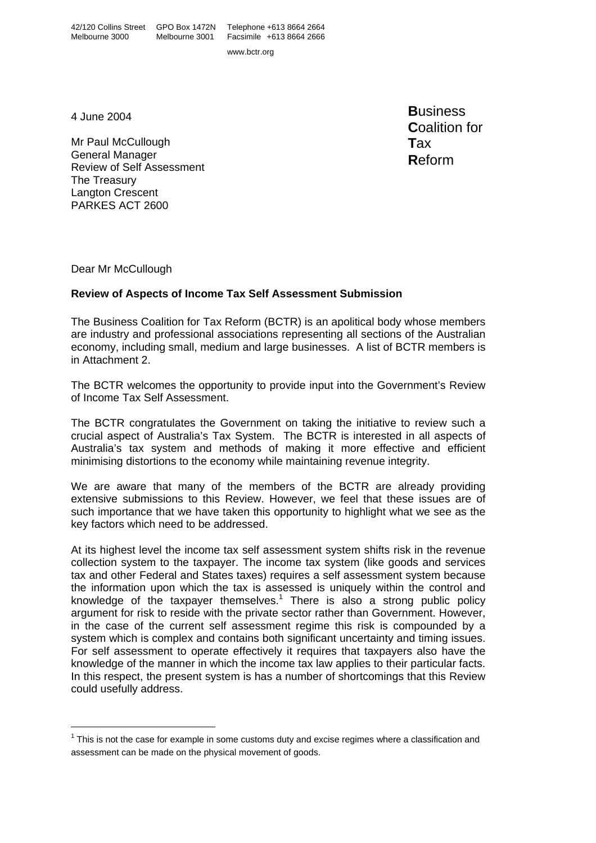www.bctr.org

4 June 2004

Mr Paul McCullough General Manager Review of Self Assessment The Treasury Langton Crescent PARKES ACT 2600

**B**usiness **C**oalition for **T**ax **R**eform

Dear Mr McCullough

# **Review of Aspects of Income Tax Self Assessment Submission**

The Business Coalition for Tax Reform (BCTR) is an apolitical body whose members are industry and professional associations representing all sections of the Australian economy, including small, medium and large businesses. A list of BCTR members is in Attachment 2.

The BCTR welcomes the opportunity to provide input into the Government's Review of Income Tax Self Assessment.

The BCTR congratulates the Government on taking the initiative to review such a crucial aspect of Australia's Tax System. The BCTR is interested in all aspects of Australia's tax system and methods of making it more effective and efficient minimising distortions to the economy while maintaining revenue integrity.

We are aware that many of the members of the BCTR are already providing extensive submissions to this Review. However, we feel that these issues are of such importance that we have taken this opportunity to highlight what we see as the key factors which need to be addressed.

At its highest level the income tax self assessment system shifts risk in the revenue collection system to the taxpayer. The income tax system (like goods and services tax and other Federal and States taxes) requires a self assessment system because the information upon which the tax is assessed is uniquely within the control and knowledge of the taxpayer themselves.<sup>[1](#page-0-0)</sup> There is also a strong public policy argument for risk to reside with the private sector rather than Government. However, in the case of the current self assessment regime this risk is compounded by a system which is complex and contains both significant uncertainty and timing issues. For self assessment to operate effectively it requires that taxpayers also have the knowledge of the manner in which the income tax law applies to their particular facts. In this respect, the present system is has a number of shortcomings that this Review could usefully address.

<span id="page-0-0"></span> $1$  This is not the case for example in some customs duty and excise regimes where a classification and assessment can be made on the physical movement of goods.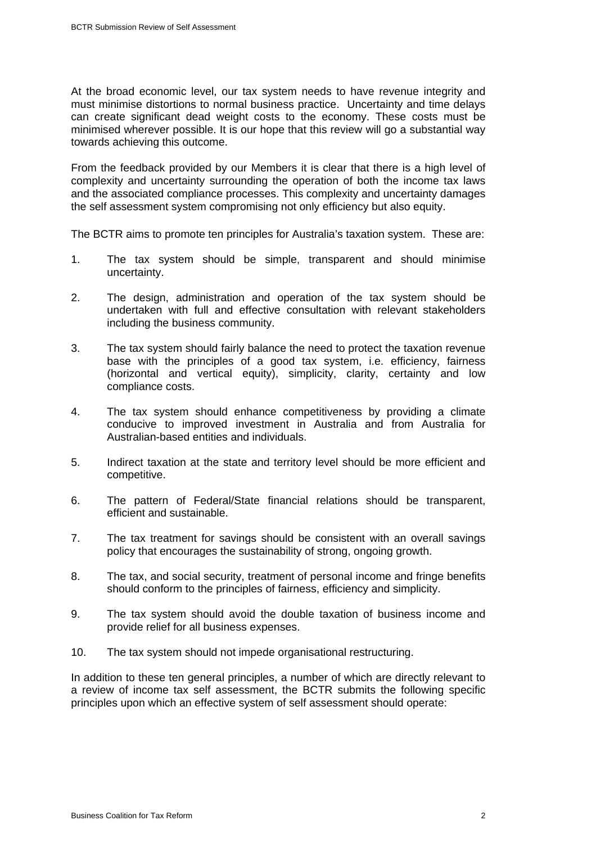At the broad economic level, our tax system needs to have revenue integrity and must minimise distortions to normal business practice. Uncertainty and time delays can create significant dead weight costs to the economy. These costs must be minimised wherever possible. It is our hope that this review will go a substantial way towards achieving this outcome.

From the feedback provided by our Members it is clear that there is a high level of complexity and uncertainty surrounding the operation of both the income tax laws and the associated compliance processes. This complexity and uncertainty damages the self assessment system compromising not only efficiency but also equity.

The BCTR aims to promote ten principles for Australia's taxation system. These are:

- 1. The tax system should be simple, transparent and should minimise uncertainty.
- 2. The design, administration and operation of the tax system should be undertaken with full and effective consultation with relevant stakeholders including the business community.
- 3. The tax system should fairly balance the need to protect the taxation revenue base with the principles of a good tax system, i.e. efficiency, fairness (horizontal and vertical equity), simplicity, clarity, certainty and low compliance costs.
- 4. The tax system should enhance competitiveness by providing a climate conducive to improved investment in Australia and from Australia for Australian-based entities and individuals.
- 5. Indirect taxation at the state and territory level should be more efficient and competitive.
- 6. The pattern of Federal/State financial relations should be transparent, efficient and sustainable.
- 7. The tax treatment for savings should be consistent with an overall savings policy that encourages the sustainability of strong, ongoing growth.
- 8. The tax, and social security, treatment of personal income and fringe benefits should conform to the principles of fairness, efficiency and simplicity.
- 9. The tax system should avoid the double taxation of business income and provide relief for all business expenses.
- 10. The tax system should not impede organisational restructuring.

In addition to these ten general principles, a number of which are directly relevant to a review of income tax self assessment, the BCTR submits the following specific principles upon which an effective system of self assessment should operate: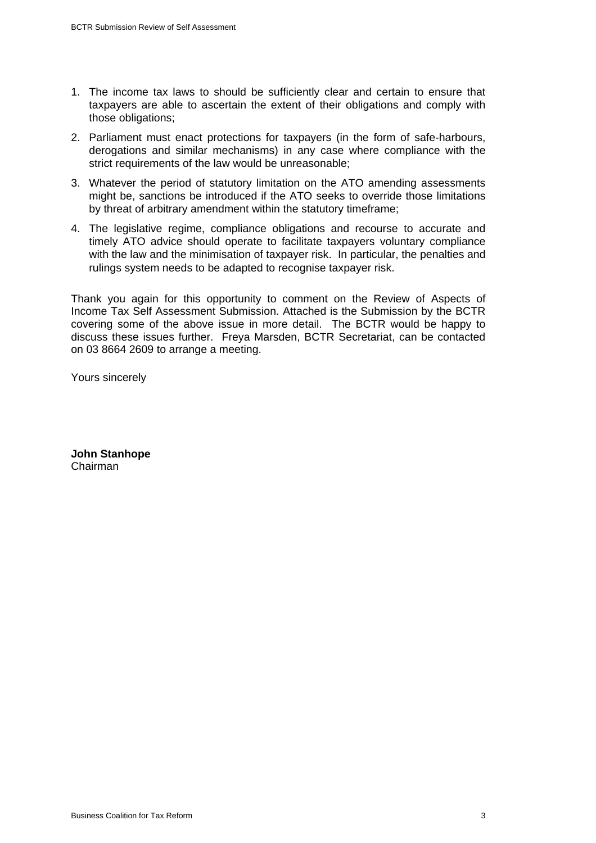- 1. The income tax laws to should be sufficiently clear and certain to ensure that taxpayers are able to ascertain the extent of their obligations and comply with those obligations;
- 2. Parliament must enact protections for taxpayers (in the form of safe-harbours, derogations and similar mechanisms) in any case where compliance with the strict requirements of the law would be unreasonable;
- 3. Whatever the period of statutory limitation on the ATO amending assessments might be, sanctions be introduced if the ATO seeks to override those limitations by threat of arbitrary amendment within the statutory timeframe;
- 4. The legislative regime, compliance obligations and recourse to accurate and timely ATO advice should operate to facilitate taxpayers voluntary compliance with the law and the minimisation of taxpayer risk. In particular, the penalties and rulings system needs to be adapted to recognise taxpayer risk.

Thank you again for this opportunity to comment on the Review of Aspects of Income Tax Self Assessment Submission. Attached is the Submission by the BCTR covering some of the above issue in more detail. The BCTR would be happy to discuss these issues further. Freya Marsden, BCTR Secretariat, can be contacted on 03 8664 2609 to arrange a meeting.

Yours sincerely

**John Stanhope**  Chairman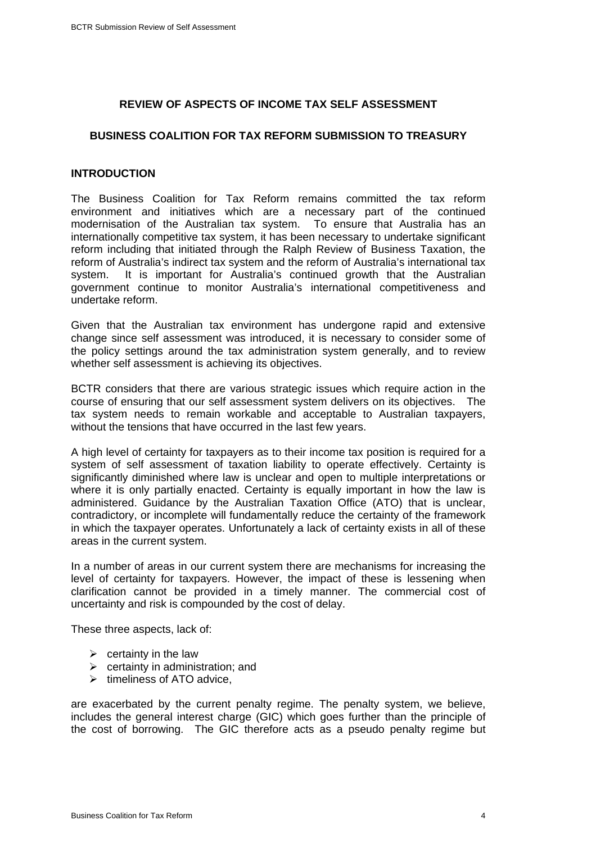### **REVIEW OF ASPECTS OF INCOME TAX SELF ASSESSMENT**

#### **BUSINESS COALITION FOR TAX REFORM SUBMISSION TO TREASURY**

## **INTRODUCTION**

The Business Coalition for Tax Reform remains committed the tax reform environment and initiatives which are a necessary part of the continued modernisation of the Australian tax system. To ensure that Australia has an internationally competitive tax system, it has been necessary to undertake significant reform including that initiated through the Ralph Review of Business Taxation, the reform of Australia's indirect tax system and the reform of Australia's international tax system. It is important for Australia's continued growth that the Australian government continue to monitor Australia's international competitiveness and undertake reform.

Given that the Australian tax environment has undergone rapid and extensive change since self assessment was introduced, it is necessary to consider some of the policy settings around the tax administration system generally, and to review whether self assessment is achieving its objectives.

BCTR considers that there are various strategic issues which require action in the course of ensuring that our self assessment system delivers on its objectives. The tax system needs to remain workable and acceptable to Australian taxpayers, without the tensions that have occurred in the last few years.

A high level of certainty for taxpayers as to their income tax position is required for a system of self assessment of taxation liability to operate effectively. Certainty is significantly diminished where law is unclear and open to multiple interpretations or where it is only partially enacted. Certainty is equally important in how the law is administered. Guidance by the Australian Taxation Office (ATO) that is unclear, contradictory, or incomplete will fundamentally reduce the certainty of the framework in which the taxpayer operates. Unfortunately a lack of certainty exists in all of these areas in the current system.

In a number of areas in our current system there are mechanisms for increasing the level of certainty for taxpayers. However, the impact of these is lessening when clarification cannot be provided in a timely manner. The commercial cost of uncertainty and risk is compounded by the cost of delay.

These three aspects, lack of:

- $\triangleright$  certainty in the law
- $\triangleright$  certainty in administration; and
- $\triangleright$  timeliness of ATO advice,

are exacerbated by the current penalty regime. The penalty system, we believe, includes the general interest charge (GIC) which goes further than the principle of the cost of borrowing. The GIC therefore acts as a pseudo penalty regime but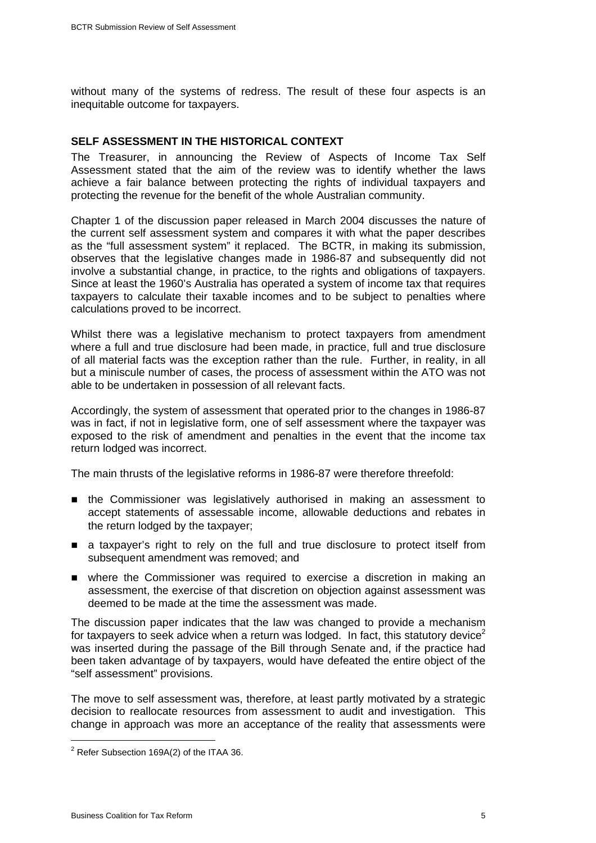without many of the systems of redress. The result of these four aspects is an inequitable outcome for taxpayers.

## **SELF ASSESSMENT IN THE HISTORICAL CONTEXT**

The Treasurer, in announcing the Review of Aspects of Income Tax Self Assessment stated that the aim of the review was to identify whether the laws achieve a fair balance between protecting the rights of individual taxpayers and protecting the revenue for the benefit of the whole Australian community.

Chapter 1 of the discussion paper released in March 2004 discusses the nature of the current self assessment system and compares it with what the paper describes as the "full assessment system" it replaced. The BCTR, in making its submission, observes that the legislative changes made in 1986-87 and subsequently did not involve a substantial change, in practice, to the rights and obligations of taxpayers. Since at least the 1960's Australia has operated a system of income tax that requires taxpayers to calculate their taxable incomes and to be subject to penalties where calculations proved to be incorrect.

Whilst there was a legislative mechanism to protect taxpayers from amendment where a full and true disclosure had been made, in practice, full and true disclosure of all material facts was the exception rather than the rule. Further, in reality, in all but a miniscule number of cases, the process of assessment within the ATO was not able to be undertaken in possession of all relevant facts.

Accordingly, the system of assessment that operated prior to the changes in 1986-87 was in fact, if not in legislative form, one of self assessment where the taxpayer was exposed to the risk of amendment and penalties in the event that the income tax return lodged was incorrect.

The main thrusts of the legislative reforms in 1986-87 were therefore threefold:

- the Commissioner was legislatively authorised in making an assessment to accept statements of assessable income, allowable deductions and rebates in the return lodged by the taxpayer;
- a taxpayer's right to rely on the full and true disclosure to protect itself from subsequent amendment was removed; and
- where the Commissioner was required to exercise a discretion in making an assessment, the exercise of that discretion on objection against assessment was deemed to be made at the time the assessment was made.

The discussion paper indicates that the law was changed to provide a mechanism for taxpayers to seek advice when a return was lodged. In fact, this statutory device<sup>[2](#page-4-0)</sup> was inserted during the passage of the Bill through Senate and, if the practice had been taken advantage of by taxpayers, would have defeated the entire object of the "self assessment" provisions.

The move to self assessment was, therefore, at least partly motivated by a strategic decision to reallocate resources from assessment to audit and investigation. This change in approach was more an acceptance of the reality that assessments were

<span id="page-4-0"></span> $\overline{2}$  $2$  Refer Subsection 169A(2) of the ITAA 36.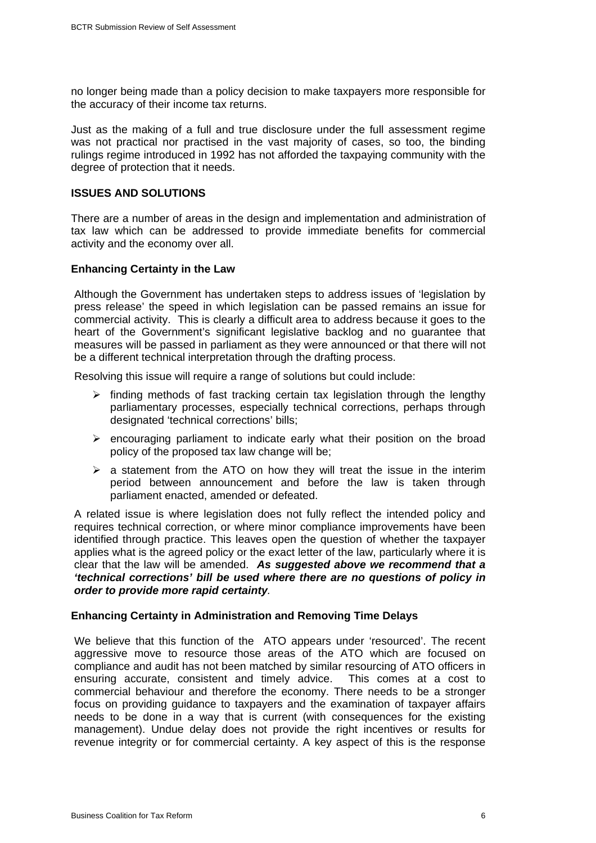no longer being made than a policy decision to make taxpayers more responsible for the accuracy of their income tax returns.

Just as the making of a full and true disclosure under the full assessment regime was not practical nor practised in the vast majority of cases, so too, the binding rulings regime introduced in 1992 has not afforded the taxpaying community with the degree of protection that it needs.

## **ISSUES AND SOLUTIONS**

There are a number of areas in the design and implementation and administration of tax law which can be addressed to provide immediate benefits for commercial activity and the economy over all.

## **Enhancing Certainty in the Law**

Although the Government has undertaken steps to address issues of 'legislation by press release' the speed in which legislation can be passed remains an issue for commercial activity. This is clearly a difficult area to address because it goes to the heart of the Government's significant legislative backlog and no guarantee that measures will be passed in parliament as they were announced or that there will not be a different technical interpretation through the drafting process.

Resolving this issue will require a range of solutions but could include:

- $\triangleright$  finding methods of fast tracking certain tax legislation through the lengthy parliamentary processes, especially technical corrections, perhaps through designated 'technical corrections' bills;
- $\triangleright$  encouraging parliament to indicate early what their position on the broad policy of the proposed tax law change will be;
- $\triangleright$  a statement from the ATO on how they will treat the issue in the interim period between announcement and before the law is taken through parliament enacted, amended or defeated.

A related issue is where legislation does not fully reflect the intended policy and requires technical correction, or where minor compliance improvements have been identified through practice. This leaves open the question of whether the taxpayer applies what is the agreed policy or the exact letter of the law, particularly where it is clear that the law will be amended. *As suggested above we recommend that a 'technical corrections' bill be used where there are no questions of policy in order to provide more rapid certainty.* 

#### **Enhancing Certainty in Administration and Removing Time Delays**

We believe that this function of the ATO appears under 'resourced'. The recent aggressive move to resource those areas of the ATO which are focused on compliance and audit has not been matched by similar resourcing of ATO officers in ensuring accurate, consistent and timely advice. This comes at a cost to commercial behaviour and therefore the economy. There needs to be a stronger focus on providing guidance to taxpayers and the examination of taxpayer affairs needs to be done in a way that is current (with consequences for the existing management). Undue delay does not provide the right incentives or results for revenue integrity or for commercial certainty. A key aspect of this is the response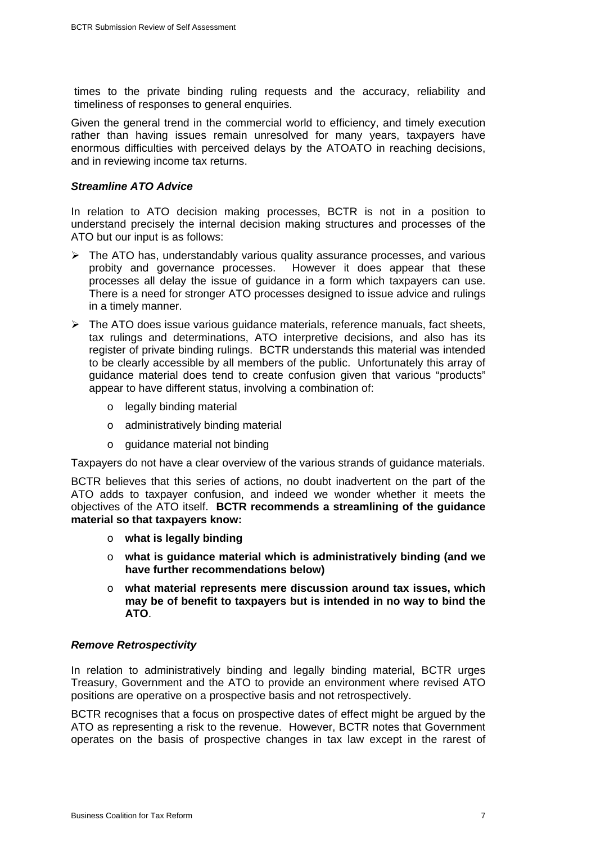times to the private binding ruling requests and the accuracy, reliability and timeliness of responses to general enquiries.

Given the general trend in the commercial world to efficiency, and timely execution rather than having issues remain unresolved for many years, taxpayers have enormous difficulties with perceived delays by the ATOATO in reaching decisions, and in reviewing income tax returns.

#### *Streamline ATO Advice*

In relation to ATO decision making processes, BCTR is not in a position to understand precisely the internal decision making structures and processes of the ATO but our input is as follows:

- $\triangleright$  The ATO has, understandably various quality assurance processes, and various probity and governance processes. However it does appear that these processes all delay the issue of guidance in a form which taxpayers can use. There is a need for stronger ATO processes designed to issue advice and rulings in a timely manner.
- $\triangleright$  The ATO does issue various quidance materials, reference manuals, fact sheets, tax rulings and determinations, ATO interpretive decisions, and also has its register of private binding rulings. BCTR understands this material was intended to be clearly accessible by all members of the public. Unfortunately this array of guidance material does tend to create confusion given that various "products" appear to have different status, involving a combination of:
	- o legally binding material
	- o administratively binding material
	- o guidance material not binding

Taxpayers do not have a clear overview of the various strands of guidance materials.

BCTR believes that this series of actions, no doubt inadvertent on the part of the ATO adds to taxpayer confusion, and indeed we wonder whether it meets the objectives of the ATO itself. **BCTR recommends a streamlining of the guidance material so that taxpayers know:** 

- o **what is legally binding**
- o **what is guidance material which is administratively binding (and we have further recommendations below)**
- o **what material represents mere discussion around tax issues, which may be of benefit to taxpayers but is intended in no way to bind the ATO**.

# *Remove Retrospectivity*

In relation to administratively binding and legally binding material, BCTR urges Treasury, Government and the ATO to provide an environment where revised ATO positions are operative on a prospective basis and not retrospectively.

BCTR recognises that a focus on prospective dates of effect might be argued by the ATO as representing a risk to the revenue. However, BCTR notes that Government operates on the basis of prospective changes in tax law except in the rarest of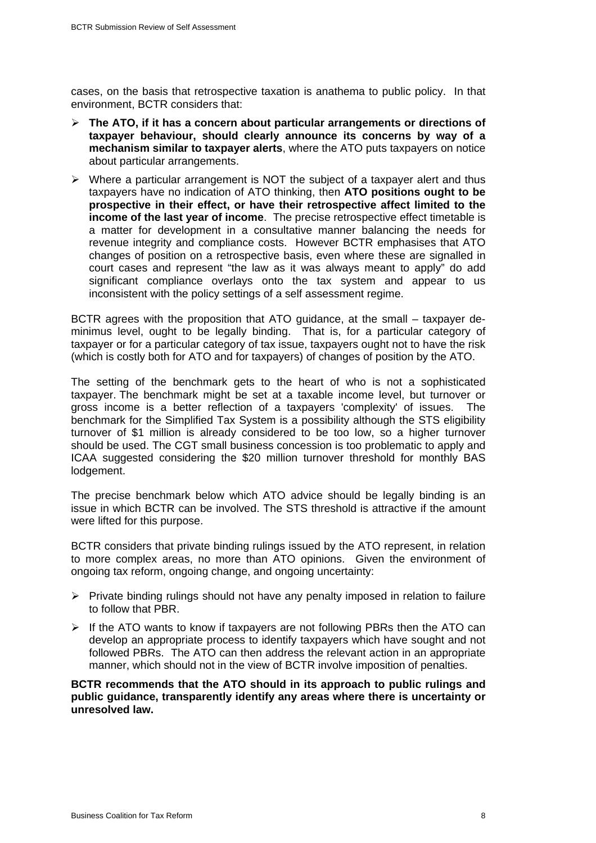cases, on the basis that retrospective taxation is anathema to public policy. In that environment, BCTR considers that:

- ¾ **The ATO, if it has a concern about particular arrangements or directions of taxpayer behaviour, should clearly announce its concerns by way of a mechanism similar to taxpayer alerts**, where the ATO puts taxpayers on notice about particular arrangements.
- $\triangleright$  Where a particular arrangement is NOT the subject of a taxpayer alert and thus taxpayers have no indication of ATO thinking, then **ATO positions ought to be prospective in their effect, or have their retrospective affect limited to the income of the last year of income**. The precise retrospective effect timetable is a matter for development in a consultative manner balancing the needs for revenue integrity and compliance costs. However BCTR emphasises that ATO changes of position on a retrospective basis, even where these are signalled in court cases and represent "the law as it was always meant to apply" do add significant compliance overlays onto the tax system and appear to us inconsistent with the policy settings of a self assessment regime.

BCTR agrees with the proposition that ATO guidance, at the small – taxpayer deminimus level, ought to be legally binding. That is, for a particular category of taxpayer or for a particular category of tax issue, taxpayers ought not to have the risk (which is costly both for ATO and for taxpayers) of changes of position by the ATO.

The setting of the benchmark gets to the heart of who is not a sophisticated taxpayer. The benchmark might be set at a taxable income level, but turnover or gross income is a better reflection of a taxpayers 'complexity' of issues. The benchmark for the Simplified Tax System is a possibility although the STS eligibility turnover of \$1 million is already considered to be too low, so a higher turnover should be used. The CGT small business concession is too problematic to apply and ICAA suggested considering the \$20 million turnover threshold for monthly BAS lodgement.

The precise benchmark below which ATO advice should be legally binding is an issue in which BCTR can be involved. The STS threshold is attractive if the amount were lifted for this purpose.

BCTR considers that private binding rulings issued by the ATO represent, in relation to more complex areas, no more than ATO opinions. Given the environment of ongoing tax reform, ongoing change, and ongoing uncertainty:

- $\triangleright$  Private binding rulings should not have any penalty imposed in relation to failure to follow that PBR.
- $\triangleright$  If the ATO wants to know if taxpayers are not following PBRs then the ATO can develop an appropriate process to identify taxpayers which have sought and not followed PBRs. The ATO can then address the relevant action in an appropriate manner, which should not in the view of BCTR involve imposition of penalties.

**BCTR recommends that the ATO should in its approach to public rulings and public guidance, transparently identify any areas where there is uncertainty or unresolved law.**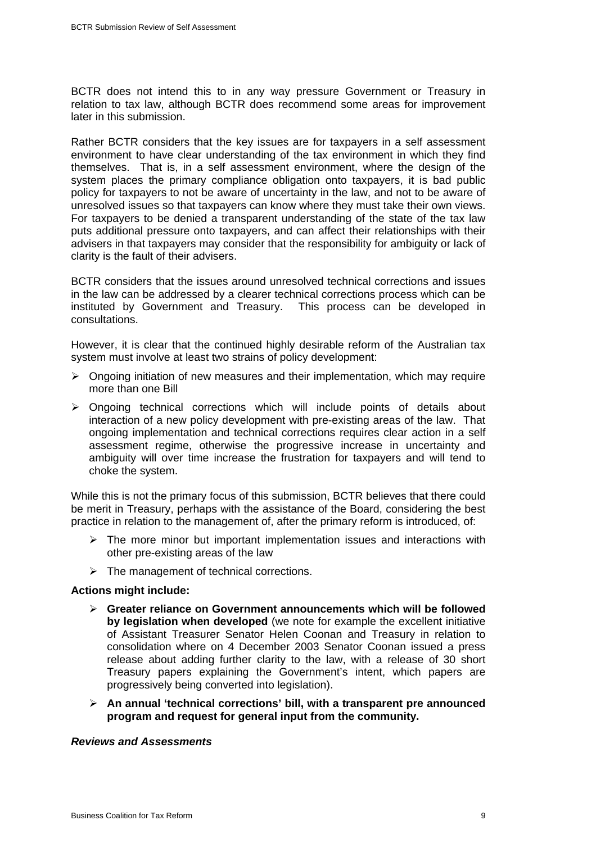BCTR does not intend this to in any way pressure Government or Treasury in relation to tax law, although BCTR does recommend some areas for improvement later in this submission.

Rather BCTR considers that the key issues are for taxpayers in a self assessment environment to have clear understanding of the tax environment in which they find themselves. That is, in a self assessment environment, where the design of the system places the primary compliance obligation onto taxpayers, it is bad public policy for taxpayers to not be aware of uncertainty in the law, and not to be aware of unresolved issues so that taxpayers can know where they must take their own views. For taxpayers to be denied a transparent understanding of the state of the tax law puts additional pressure onto taxpayers, and can affect their relationships with their advisers in that taxpayers may consider that the responsibility for ambiguity or lack of clarity is the fault of their advisers.

BCTR considers that the issues around unresolved technical corrections and issues in the law can be addressed by a clearer technical corrections process which can be instituted by Government and Treasury. This process can be developed in consultations.

However, it is clear that the continued highly desirable reform of the Australian tax system must involve at least two strains of policy development:

- $\triangleright$  Ongoing initiation of new measures and their implementation, which may require more than one Bill
- $\triangleright$  Ongoing technical corrections which will include points of details about interaction of a new policy development with pre-existing areas of the law. That ongoing implementation and technical corrections requires clear action in a self assessment regime, otherwise the progressive increase in uncertainty and ambiguity will over time increase the frustration for taxpayers and will tend to choke the system.

While this is not the primary focus of this submission, BCTR believes that there could be merit in Treasury, perhaps with the assistance of the Board, considering the best practice in relation to the management of, after the primary reform is introduced, of:

- $\triangleright$  The more minor but important implementation issues and interactions with other pre-existing areas of the law
- $\triangleright$  The management of technical corrections.

#### **Actions might include:**

- ¾ **Greater reliance on Government announcements which will be followed by legislation when developed** (we note for example the excellent initiative of Assistant Treasurer Senator Helen Coonan and Treasury in relation to consolidation where on 4 December 2003 Senator Coonan issued a press release about adding further clarity to the law, with a release of 30 short Treasury papers explaining the Government's intent, which papers are progressively being converted into legislation).
- ¾ **An annual 'technical corrections' bill, with a transparent pre announced program and request for general input from the community.**

#### *Reviews and Assessments*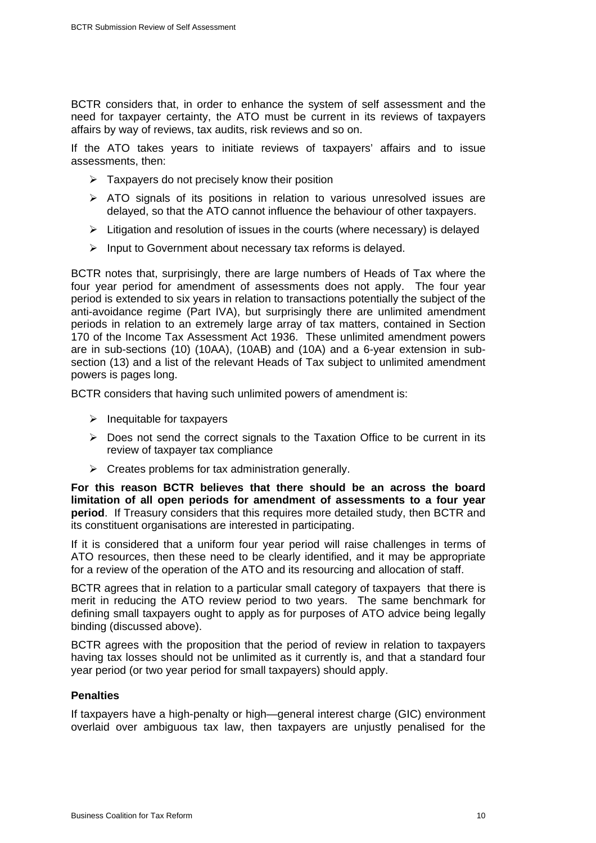BCTR considers that, in order to enhance the system of self assessment and the need for taxpayer certainty, the ATO must be current in its reviews of taxpayers affairs by way of reviews, tax audits, risk reviews and so on.

If the ATO takes years to initiate reviews of taxpayers' affairs and to issue assessments, then:

- $\triangleright$  Taxpayers do not precisely know their position
- $\triangleright$  ATO signals of its positions in relation to various unresolved issues are delayed, so that the ATO cannot influence the behaviour of other taxpayers.
- $\triangleright$  Litigation and resolution of issues in the courts (where necessary) is delayed
- $\triangleright$  Input to Government about necessary tax reforms is delayed.

BCTR notes that, surprisingly, there are large numbers of Heads of Tax where the four year period for amendment of assessments does not apply. The four year period is extended to six years in relation to transactions potentially the subject of the anti-avoidance regime (Part IVA), but surprisingly there are unlimited amendment periods in relation to an extremely large array of tax matters, contained in Section 170 of the Income Tax Assessment Act 1936. These unlimited amendment powers are in sub-sections (10) (10AA), (10AB) and (10A) and a 6-year extension in subsection (13) and a list of the relevant Heads of Tax subject to unlimited amendment powers is pages long.

BCTR considers that having such unlimited powers of amendment is:

- $\triangleright$  Inequitable for taxpayers
- $\triangleright$  Does not send the correct signals to the Taxation Office to be current in its review of taxpayer tax compliance
- $\triangleright$  Creates problems for tax administration generally.

**For this reason BCTR believes that there should be an across the board limitation of all open periods for amendment of assessments to a four year period**. If Treasury considers that this requires more detailed study, then BCTR and its constituent organisations are interested in participating.

If it is considered that a uniform four year period will raise challenges in terms of ATO resources, then these need to be clearly identified, and it may be appropriate for a review of the operation of the ATO and its resourcing and allocation of staff.

BCTR agrees that in relation to a particular small category of taxpayers that there is merit in reducing the ATO review period to two years. The same benchmark for defining small taxpayers ought to apply as for purposes of ATO advice being legally binding (discussed above).

BCTR agrees with the proposition that the period of review in relation to taxpayers having tax losses should not be unlimited as it currently is, and that a standard four year period (or two year period for small taxpayers) should apply.

# **Penalties**

If taxpayers have a high-penalty or high—general interest charge (GIC) environment overlaid over ambiguous tax law, then taxpayers are unjustly penalised for the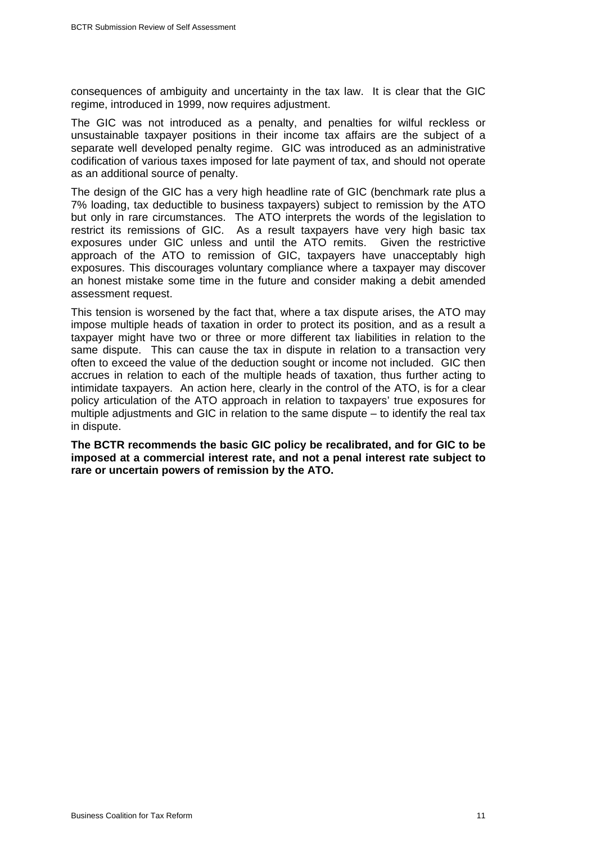consequences of ambiguity and uncertainty in the tax law. It is clear that the GIC regime, introduced in 1999, now requires adjustment.

The GIC was not introduced as a penalty, and penalties for wilful reckless or unsustainable taxpayer positions in their income tax affairs are the subject of a separate well developed penalty regime. GIC was introduced as an administrative codification of various taxes imposed for late payment of tax, and should not operate as an additional source of penalty.

The design of the GIC has a very high headline rate of GIC (benchmark rate plus a 7% loading, tax deductible to business taxpayers) subject to remission by the ATO but only in rare circumstances. The ATO interprets the words of the legislation to restrict its remissions of GIC. As a result taxpayers have very high basic tax exposures under GIC unless and until the ATO remits. Given the restrictive approach of the ATO to remission of GIC, taxpayers have unacceptably high exposures. This discourages voluntary compliance where a taxpayer may discover an honest mistake some time in the future and consider making a debit amended assessment request.

This tension is worsened by the fact that, where a tax dispute arises, the ATO may impose multiple heads of taxation in order to protect its position, and as a result a taxpayer might have two or three or more different tax liabilities in relation to the same dispute. This can cause the tax in dispute in relation to a transaction very often to exceed the value of the deduction sought or income not included. GIC then accrues in relation to each of the multiple heads of taxation, thus further acting to intimidate taxpayers. An action here, clearly in the control of the ATO, is for a clear policy articulation of the ATO approach in relation to taxpayers' true exposures for multiple adjustments and GIC in relation to the same dispute – to identify the real tax in dispute.

**The BCTR recommends the basic GIC policy be recalibrated, and for GIC to be imposed at a commercial interest rate, and not a penal interest rate subject to rare or uncertain powers of remission by the ATO.**